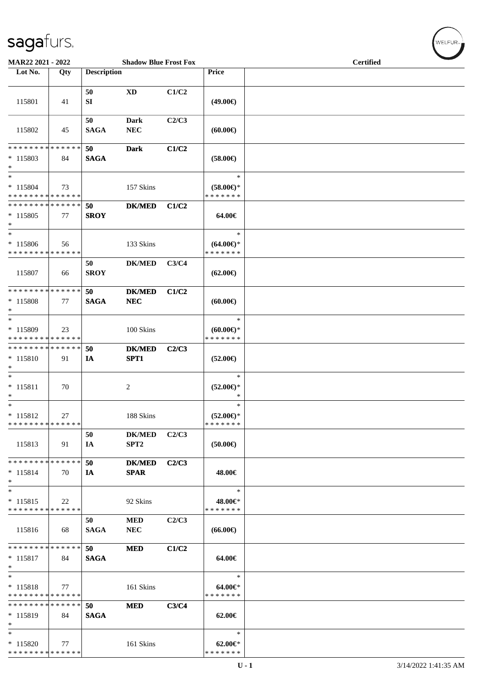| MAR22 2021 - 2022                                    |     |                    | <b>Shadow Blue Frost Fox</b>      |       |                                                | <b>Certified</b> |
|------------------------------------------------------|-----|--------------------|-----------------------------------|-------|------------------------------------------------|------------------|
| Lot No.                                              | Qty | <b>Description</b> |                                   |       | Price                                          |                  |
| 115801                                               | 41  | 50<br>SI           | XD                                | C1/C2 | $(49.00\epsilon)$                              |                  |
| 115802                                               | 45  | 50<br><b>SAGA</b>  | <b>Dark</b><br>${\bf NEC}$        | C2/C3 | (60.00)                                        |                  |
| * * * * * * * * * * * * * *<br>$* 115803$<br>$\ast$  | 84  | 50<br><b>SAGA</b>  | <b>Dark</b>                       | C1/C2 | $(58.00\epsilon)$                              |                  |
| $\ast$<br>$* 115804$<br>* * * * * * * * * * * * * *  | 73  |                    | 157 Skins                         |       | $\ast$<br>$(58.00\epsilon)$ *<br>* * * * * * * |                  |
| * * * * * * * * * * * * * *<br>$*115805$<br>$\ast$   | 77  | 50<br><b>SROY</b>  | <b>DK/MED</b>                     | C1/C2 | 64.00€                                         |                  |
| $\ast$<br>* 115806<br>* * * * * * * * * * * * * *    | 56  |                    | 133 Skins                         |       | $\ast$<br>$(64.00ε)$ *<br>* * * * * * *        |                  |
| 115807                                               | 66  | 50<br><b>SROY</b>  | <b>DK/MED</b>                     | C3/C4 | $(62.00\epsilon)$                              |                  |
| * * * * * * * * * * * * * *<br>* 115808<br>$\ast$    | 77  | 50<br><b>SAGA</b>  | $DK/MED$<br>${\bf NEC}$           | C1/C2 | (60.00)                                        |                  |
| $\ast$<br>* 115809<br>* * * * * * * * * * * * * *    | 23  |                    | 100 Skins                         |       | $\ast$<br>$(60.00\epsilon)$ *<br>* * * * * * * |                  |
| ******** <mark>******</mark><br>$* 115810$<br>$\ast$ | 91  | 50<br>IA           | <b>DK/MED</b><br>SPT1             | C2/C3 | $(52.00\epsilon)$                              |                  |
| $\ast$<br>$* 115811$<br>$\ast$                       | 70  |                    | $\mathbf{2}$                      |       | $\ast$<br>$(52.00\epsilon)$ *<br>∗             |                  |
| $*$<br>$* 115812$<br>* * * * * * * * * * * * * *     | 27  |                    | 188 Skins                         |       | $\ast$<br>$(52.00\epsilon)$ *<br>* * * * * * * |                  |
| 115813                                               | 91  | 50<br>IA           | <b>DK/MED</b><br>SPT <sub>2</sub> | C2/C3 | $(50.00\epsilon)$                              |                  |
| * * * * * * * * * * * * * *<br>$* 115814$<br>$\ast$  | 70  | 50<br>IA           | <b>DK/MED</b><br><b>SPAR</b>      | C2/C3 | 48.00€                                         |                  |
| $\ast$<br>$* 115815$<br>* * * * * * * * * * * * * *  | 22  |                    | 92 Skins                          |       | $\ast$<br>48.00€*<br>* * * * * * *             |                  |
| 115816                                               | 68  | 50<br><b>SAGA</b>  | <b>MED</b><br><b>NEC</b>          | C2/C3 | $(66.00\epsilon)$                              |                  |
| * * * * * * * * * * * * * *<br>$* 115817$<br>$\ast$  | 84  | 50<br><b>SAGA</b>  | <b>MED</b>                        | C1/C2 | 64.00€                                         |                  |
| $\ast$<br>$* 115818$<br>* * * * * * * * * * * * * *  | 77  |                    | 161 Skins                         |       | $\ast$<br>$64.00 \in$<br>* * * * * * *         |                  |
| * * * * * * * * * * * * * *<br>$* 115819$<br>$\ast$  | 84  | 50<br><b>SAGA</b>  | <b>MED</b>                        | C3/C4 | $62.00 \in$                                    |                  |
| $\ast$<br>$*115820$<br>* * * * * * * * * * * * * *   | 77  |                    | 161 Skins                         |       | $\ast$<br>$62.00 \in$<br>* * * * * * *         |                  |

WELFUR<sub><sup>N</sub></sub></sub></sup>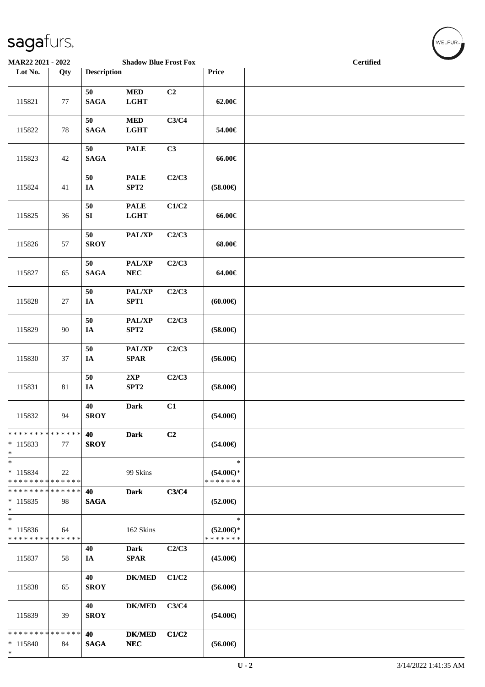| MAR22 2021 - 2022                                   |        |                    | <b>Shadow Blue Frost Fox</b>              |                |                                                | <b>Certified</b> |  |  |
|-----------------------------------------------------|--------|--------------------|-------------------------------------------|----------------|------------------------------------------------|------------------|--|--|
| Lot No.                                             | Qty    | <b>Description</b> |                                           |                | Price                                          |                  |  |  |
| 115821                                              | 77     | 50<br><b>SAGA</b>  | <b>MED</b><br><b>LGHT</b>                 | C <sub>2</sub> | 62.00€                                         |                  |  |  |
| 115822                                              | $78\,$ | 50<br><b>SAGA</b>  | $\bf MED$<br><b>LGHT</b>                  | C3/C4          | 54.00€                                         |                  |  |  |
| 115823                                              | 42     | 50<br><b>SAGA</b>  | <b>PALE</b>                               | C3             | 66.00€                                         |                  |  |  |
| 115824                                              | 41     | 50<br>$I\!\!A$     | <b>PALE</b><br>SPT2                       | C2/C3          | $(58.00\epsilon)$                              |                  |  |  |
| 115825                                              | 36     | 50<br>SI           | <b>PALE</b><br><b>LGHT</b>                | C1/C2          | 66.00€                                         |                  |  |  |
| 115826                                              | 57     | 50<br><b>SROY</b>  | PAL/XP                                    | C2/C3          | 68.00€                                         |                  |  |  |
| 115827                                              | 65     | 50<br><b>SAGA</b>  | PAL/XP<br>${\bf NEC}$                     | C2/C3          | 64.00€                                         |                  |  |  |
| 115828                                              | 27     | 50<br>IA           | PAL/XP<br>SPT1                            | C2/C3          | (60.00)                                        |                  |  |  |
| 115829                                              | 90     | $50\,$<br>$I\!\!A$ | PAL/XP<br>SPT2                            | C2/C3          | $(58.00\epsilon)$                              |                  |  |  |
| 115830                                              | 37     | 50<br>IA           | PAL/XP<br>$\pmb{\quad \text{SPAR} \quad}$ | C2/C3          | $(56.00\epsilon)$                              |                  |  |  |
| 115831                                              | 81     | 50<br>$I\!\!A$     | 2XP<br>SPT2                               | C2/C3          | $(58.00\epsilon)$                              |                  |  |  |
| 115832                                              | 94     | 40<br><b>SROY</b>  | <b>Dark</b>                               | C1             | $(54.00\in)$                                   |                  |  |  |
| * * * * * * * * * * * * * *<br>$*115833$<br>$*$     | 77     | 40<br><b>SROY</b>  | Dark                                      | C <sub>2</sub> | $(54.00\epsilon)$                              |                  |  |  |
| $\ast$<br>$* 115834$<br>* * * * * * * * * * * * * * | 22     |                    | 99 Skins                                  |                | $\ast$<br>$(54.00\epsilon)$ *<br>* * * * * * * |                  |  |  |
| * * * * * * * * * * * * * *<br>$*115835$<br>$*$     | 98     | 40<br><b>SAGA</b>  | <b>Dark</b>                               | C3/C4          | $(52.00\epsilon)$                              |                  |  |  |
| $\ast$<br>$* 115836$<br>* * * * * * * * * * * * * * | 64     |                    | 162 Skins                                 |                | $\ast$<br>$(52.00\epsilon)$ *<br>* * * * * * * |                  |  |  |
| 115837                                              | 58     | 40<br>IA           | <b>Dark</b><br><b>SPAR</b>                | C2/C3          | $(45.00\epsilon)$                              |                  |  |  |
| 115838                                              | 65     | 40<br><b>SROY</b>  | <b>DK/MED</b>                             | C1/C2          | $(56.00\epsilon)$                              |                  |  |  |
| 115839                                              | 39     | 40<br><b>SROY</b>  | <b>DK/MED</b>                             | C3/C4          | $(54.00\epsilon)$                              |                  |  |  |
| * * * * * * * * * * * * * *<br>$*115840$<br>$*$     | 84     | 40<br><b>SAGA</b>  | <b>DK/MED</b><br>${\bf NEC}$              | C1/C2          | $(56.00\epsilon)$                              |                  |  |  |

WELFUR<sub>"</sub>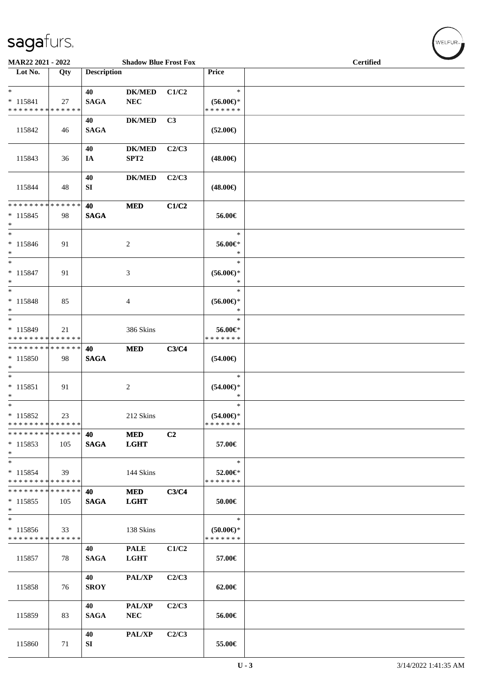| MAR22 2021 - 2022                                                |     |                    | <b>Shadow Blue Frost Fox</b>      |       |                                                | <b>Certified</b> |  |
|------------------------------------------------------------------|-----|--------------------|-----------------------------------|-------|------------------------------------------------|------------------|--|
| Lot No.                                                          | Qty | <b>Description</b> |                                   |       | Price                                          |                  |  |
| $*$<br>$* 115841$<br>* * * * * * * * * * * * * *                 | 27  | 40<br><b>SAGA</b>  | <b>DK/MED</b><br><b>NEC</b>       | C1/C2 | $\ast$<br>$(56.00\epsilon)$ *<br>* * * * * * * |                  |  |
| 115842                                                           | 46  | 40<br><b>SAGA</b>  | <b>DK/MED</b>                     | C3    | $(52.00\epsilon)$                              |                  |  |
| 115843                                                           | 36  | 40<br>IA           | <b>DK/MED</b><br>SPT <sub>2</sub> | C2/C3 | $(48.00\epsilon)$                              |                  |  |
| 115844                                                           | 48  | 40<br>SI           | <b>DK/MED</b>                     | C2/C3 | $(48.00\epsilon)$                              |                  |  |
| * * * * * * * * * * * * * *<br>$* 115845$<br>$*$                 | 98  | 40<br><b>SAGA</b>  | <b>MED</b>                        | C1/C2 | 56.00€                                         |                  |  |
| $*$<br>$* 115846$<br>$*$                                         | 91  |                    | 2                                 |       | $\ast$<br>56.00€*<br>$\ast$                    |                  |  |
| $*$<br>$* 115847$<br>$*$                                         | 91  |                    | 3                                 |       | $\ast$<br>$(56.00ε)$ *<br>$\ast$               |                  |  |
| $\ast$<br>* 115848<br>$*$                                        | 85  |                    | 4                                 |       | $\ast$<br>$(56.00\epsilon)$ *<br>$\ast$        |                  |  |
| $\ast$<br>* 115849<br>* * * * * * * * <mark>* * * * * * *</mark> | 21  |                    | 386 Skins                         |       | $\ast$<br>56.00€*<br>* * * * * * *             |                  |  |
| * * * * * * * * * * * * * * *<br>$*115850$<br>$*$                | 98  | 40<br><b>SAGA</b>  | <b>MED</b>                        | C3/C4 | $(54.00\epsilon)$                              |                  |  |
| $\ast$<br>$* 115851$<br>$*$                                      | 91  |                    | 2                                 |       | $\ast$<br>$(54.00ε)$ *<br>$\ast$               |                  |  |
| $*$<br>* 115852<br>* * * * * * * * * * * * * * *                 | 23  |                    | 212 Skins                         |       | $\ast$<br>$(54.00\epsilon)$ *<br>* * * * * * * |                  |  |
| * * * * * * * * * * * * * * *<br>$*115853$<br>$*$                | 105 | 40<br><b>SAGA</b>  | <b>MED</b><br><b>LGHT</b>         | C2    | 57.00€                                         |                  |  |
| $*$<br>$* 115854$<br>* * * * * * * * * * * * * * *               | 39  |                    | 144 Skins                         |       | $\ast$<br>52.00€*<br>* * * * * * *             |                  |  |
| * * * * * * * * * * * * * * *<br>$*115855$<br>$*$                | 105 | 40<br><b>SAGA</b>  | <b>MED</b><br><b>LGHT</b>         | C3/C4 | 50.00€                                         |                  |  |
| $*$<br>$* 115856$<br>* * * * * * * * * * * * * *                 | 33  |                    | 138 Skins                         |       | $\ast$<br>$(50.00 \in )^*$<br>* * * * * * *    |                  |  |
| 115857                                                           | 78  | 40<br><b>SAGA</b>  | <b>PALE</b><br><b>LGHT</b>        | C1/C2 | 57.00€                                         |                  |  |
| 115858                                                           | 76  | 40<br><b>SROY</b>  | PAL/XP                            | C2/C3 | 62.00€                                         |                  |  |
| 115859                                                           | 83  | 40<br><b>SAGA</b>  | <b>PAL/XP</b><br><b>NEC</b>       | C2/C3 | 56.00€                                         |                  |  |
| 115860                                                           | 71  | 40<br>SI           | PAL/XP                            | C2/C3 | 55.00€                                         |                  |  |

 $(\forall ELFUR_{\text{max}})$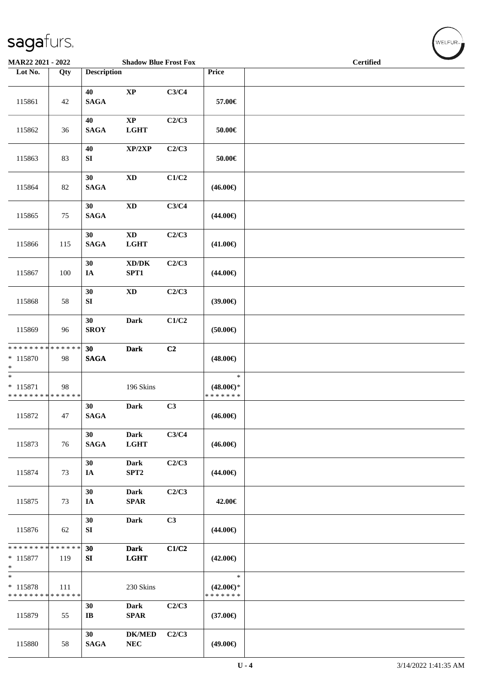| MAR22 2021 - 2022                                                       |     |                              | <b>Shadow Blue Frost Fox</b>                |       |                                                | <b>Certified</b> |  |  |
|-------------------------------------------------------------------------|-----|------------------------------|---------------------------------------------|-------|------------------------------------------------|------------------|--|--|
| Lot No.                                                                 | Qty | <b>Description</b>           |                                             |       | Price                                          |                  |  |  |
| 115861                                                                  | 42  | 40<br><b>SAGA</b>            | $\mathbf{XP}$                               | C3/C4 | 57.00€                                         |                  |  |  |
| 115862                                                                  | 36  | 40<br><b>SAGA</b>            | $\bold{XP}$<br><b>LGHT</b>                  | C2/C3 | 50.00€                                         |                  |  |  |
| 115863                                                                  | 83  | 40<br>SI                     | XP/2XP                                      | C2/C3 | $50.00\in$                                     |                  |  |  |
| 115864                                                                  | 82  | 30<br><b>SAGA</b>            | $\mathbf{X}\mathbf{D}$                      | C1/C2 | $(46.00\epsilon)$                              |                  |  |  |
| 115865                                                                  | 75  | 30<br><b>SAGA</b>            | $\mathbf{X}\mathbf{D}$                      | C3/C4 | $(44.00\epsilon)$                              |                  |  |  |
| 115866                                                                  | 115 | 30<br><b>SAGA</b>            | $\mathbf{X}\mathbf{D}$<br><b>LGHT</b>       | C2/C3 | $(41.00\epsilon)$                              |                  |  |  |
| 115867                                                                  | 100 | 30<br>IA                     | $\bold{X}\bold{D}/\bold{D}\bold{K}$<br>SPT1 | C2/C3 | $(44.00\epsilon)$                              |                  |  |  |
| 115868                                                                  | 58  | 30<br>${\bf SI}$             | $\mathbf{X}\mathbf{D}$                      | C2/C3 | (39.00)                                        |                  |  |  |
| 115869                                                                  | 96  | 30<br><b>SROY</b>            | <b>Dark</b>                                 | C1/C2 | (50.00)                                        |                  |  |  |
| ******** <mark>******</mark><br>$* 115870$<br>$\ast$                    | 98  | 30<br><b>SAGA</b>            | <b>Dark</b>                                 | C2    | $(48.00\epsilon)$                              |                  |  |  |
| $\overline{\phantom{a}^*}$<br>$* 115871$<br>* * * * * * * * * * * * * * | 98  |                              | 196 Skins                                   |       | $\ast$<br>$(48.00\epsilon)$ *<br>* * * * * * * |                  |  |  |
| 115872                                                                  | 47  | 30<br><b>SAGA</b>            | <b>Dark</b>                                 | C3    | $(46.00\in)$                                   |                  |  |  |
| 115873                                                                  | 76  | 30<br><b>SAGA</b>            | <b>Dark</b><br><b>LGHT</b>                  | C3/C4 | $(46.00\epsilon)$                              |                  |  |  |
| 115874                                                                  | 73  | 30<br>IA                     | <b>Dark</b><br>SPT <sub>2</sub>             | C2/C3 | $(44.00\epsilon)$                              |                  |  |  |
| 115875                                                                  | 73  | 30<br>IA                     | <b>Dark</b><br><b>SPAR</b>                  | C2/C3 | 42.00€                                         |                  |  |  |
| 115876                                                                  | 62  | 30<br>SI                     | <b>Dark</b>                                 | C3    | $(44.00\epsilon)$                              |                  |  |  |
| * * * * * * * * * * * * * *<br>$* 115877$<br>$\ast$                     | 119 | 30<br>SI                     | <b>Dark</b><br><b>LGHT</b>                  | C1/C2 | $(42.00\epsilon)$                              |                  |  |  |
| $\ast$<br>* 115878<br>* * * * * * * * * * * * * *                       | 111 |                              | 230 Skins                                   |       | $\ast$<br>$(42.00\epsilon)$ *<br>* * * * * * * |                  |  |  |
| 115879                                                                  | 55  | 30<br>$\mathbf{I}\mathbf{B}$ | <b>Dark</b><br><b>SPAR</b>                  | C2/C3 | $(37.00\epsilon)$                              |                  |  |  |
| 115880                                                                  | 58  | 30<br><b>SAGA</b>            | <b>DK/MED</b><br>${\bf NEC}$                | C2/C3 | $(49.00\epsilon)$                              |                  |  |  |

 $(\sqrt{\text{WELFUR}_{n}})$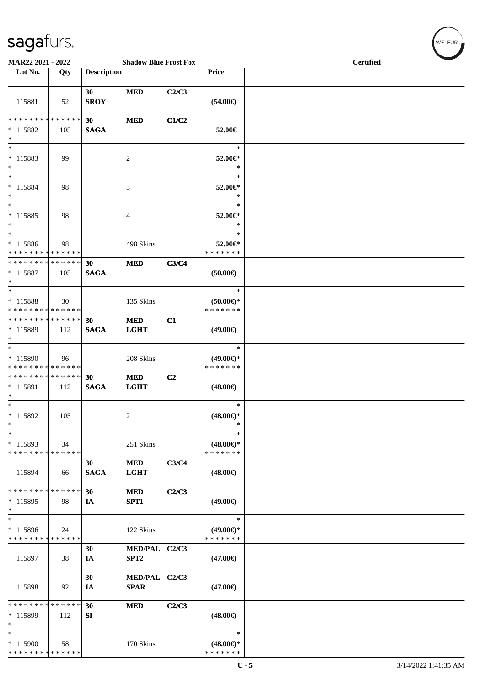| MAR22 2021 - 2022                                  |     |                    | <b>Shadow Blue Frost Fox</b>      |       |                                                | Certified |  |
|----------------------------------------------------|-----|--------------------|-----------------------------------|-------|------------------------------------------------|-----------|--|
| Lot No.                                            | Qty | <b>Description</b> |                                   |       | <b>Price</b>                                   |           |  |
| 115881                                             | 52  | 30<br><b>SROY</b>  | <b>MED</b>                        | C2/C3 | $(54.00\epsilon)$                              |           |  |
| * * * * * * * * * * * * * *<br>$*115882$<br>$*$    | 105 | 30<br><b>SAGA</b>  | <b>MED</b>                        | C1/C2 | 52.00€                                         |           |  |
| $\ast$<br>$* 115883$<br>$\ast$<br>$\ast$           | 99  |                    | 2                                 |       | $\ast$<br>52.00€*<br>$\ast$<br>$\ast$          |           |  |
| * 115884<br>$*$<br>$\ast$                          | 98  |                    | 3                                 |       | 52.00€*<br>∗<br>$\ast$                         |           |  |
| $* 115885$<br>$*$                                  | 98  |                    | 4                                 |       | 52.00€*<br>$\ast$                              |           |  |
| $*$<br>* 115886<br>* * * * * * * * * * * * * *     | 98  |                    | 498 Skins                         |       | $\ast$<br>52.00€*<br>* * * * * * *             |           |  |
| * * * * * * * * * * * * * * *<br>* 115887<br>$*$   | 105 | 30<br><b>SAGA</b>  | <b>MED</b>                        | C3/C4 | (50.00)                                        |           |  |
| $*$<br>* 115888<br>* * * * * * * * * * * * * *     | 30  |                    | 135 Skins                         |       | $\ast$<br>$(50.00 \in )^*$<br>* * * * * * *    |           |  |
| * * * * * * * * * * * * * * *<br>* 115889<br>$*$   | 112 | 30<br><b>SAGA</b>  | <b>MED</b><br><b>LGHT</b>         | C1    | $(49.00\epsilon)$                              |           |  |
| $*$<br>* 115890<br>* * * * * * * * * * * * * *     | 96  |                    | 208 Skins                         |       | $\ast$<br>$(49.00€)$ *<br>* * * * * * *        |           |  |
| * * * * * * * * * * * * * * *<br>* 115891<br>$*$   | 112 | 30<br><b>SAGA</b>  | <b>MED</b><br><b>LGHT</b>         | C2    | $(48.00\epsilon)$                              |           |  |
| $*$<br>* 115892<br>$\ast$                          | 105 |                    | 2                                 |       | $\ast$<br>$(48.00\epsilon)$ *<br>$\ast$        |           |  |
| $\ast$<br>$*115893$<br>* * * * * * * * * * * * * * | 34  |                    | 251 Skins                         |       | $\ast$<br>$(48.00\epsilon)$ *<br>* * * * * * * |           |  |
| 115894                                             | 66  | 30<br><b>SAGA</b>  | <b>MED</b><br><b>LGHT</b>         | C3/C4 | $(48.00\epsilon)$                              |           |  |
| * * * * * * * * * * * * * *<br>$*115895$<br>$\ast$ | 98  | 30<br>IA           | <b>MED</b><br>SPT1                | C2/C3 | $(49.00\epsilon)$                              |           |  |
| $*$<br>* 115896<br>* * * * * * * * * * * * * *     | 24  |                    | 122 Skins                         |       | $\ast$<br>$(49.00€)$ *<br>* * * * * * *        |           |  |
| 115897                                             | 38  | 30<br>IA           | MED/PAL C2/C3<br>SPT <sub>2</sub> |       | $(47.00\epsilon)$                              |           |  |
| 115898                                             | 92  | 30<br>IA           | MED/PAL C2/C3<br><b>SPAR</b>      |       | $(47.00\epsilon)$                              |           |  |
| * * * * * * * * * * * * * *<br>* 115899<br>∗       | 112 | 30<br>SI           | <b>MED</b>                        | C2/C3 | $(48.00\epsilon)$                              |           |  |
| $\ast$<br>* 115900<br>* * * * * * * * * * * * * *  | 58  |                    | 170 Skins                         |       | $\ast$<br>$(48.00\epsilon)$ *<br>* * * * * * * |           |  |

 $(w$ elfur $\overline{\phantom{a}}$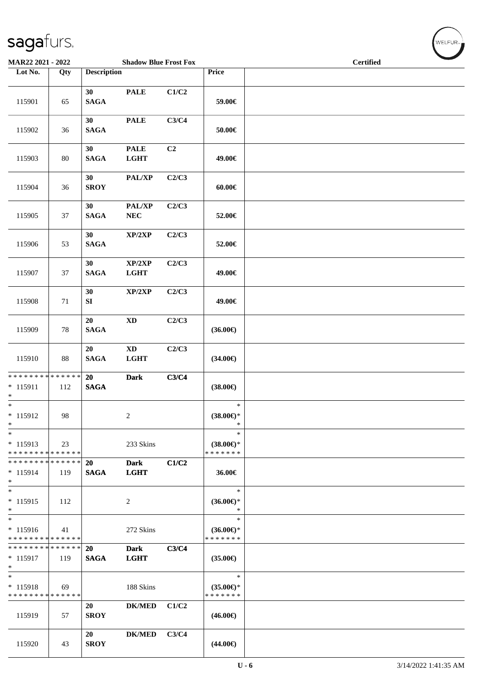| MAR22 2021 - 2022                                     |                      |                       | <b>Shadow Blue Frost Fox</b>   |       |                                                | $\overline{\phantom{a}}$<br><b>Certified</b> |  |  |
|-------------------------------------------------------|----------------------|-----------------------|--------------------------------|-------|------------------------------------------------|----------------------------------------------|--|--|
| Lot No.                                               | Qty                  | <b>Description</b>    |                                |       | Price                                          |                                              |  |  |
| 115901                                                | 65                   | 30<br>$\mathbf{SAGA}$ | <b>PALE</b>                    | C1/C2 | 59.00€                                         |                                              |  |  |
| 115902                                                | 36                   | 30<br><b>SAGA</b>     | <b>PALE</b>                    | C3/C4 | $50.00\in$                                     |                                              |  |  |
| 115903                                                | 80                   | 30<br><b>SAGA</b>     | <b>PALE</b><br><b>LGHT</b>     | C2    | 49.00€                                         |                                              |  |  |
| 115904                                                | 36                   | 30<br><b>SROY</b>     | PAL/XP                         | C2/C3 | 60.00€                                         |                                              |  |  |
| 115905                                                | 37                   | 30<br><b>SAGA</b>     | PAL/XP<br>${\bf NEC}$          | C2/C3 | 52.00€                                         |                                              |  |  |
| 115906                                                | 53                   | 30<br><b>SAGA</b>     | XP/2XP                         | C2/C3 | 52.00€                                         |                                              |  |  |
| 115907                                                | 37                   | 30<br><b>SAGA</b>     | XP/2XP<br><b>LGHT</b>          | C2/C3 | 49.00€                                         |                                              |  |  |
| 115908                                                | 71                   | 30<br>${\bf SI}$      | XP/2XP                         | C2/C3 | 49.00€                                         |                                              |  |  |
| 115909                                                | 78                   | 20<br>$\mathbf{SAGA}$ | $\mathbf{X}\mathbf{D}$         | C2/C3 | $(36.00\epsilon)$                              |                                              |  |  |
| 115910                                                | 88                   | 20<br><b>SAGA</b>     | $\mathbf{X}\mathbf{D}$<br>LGHT | C2/C3 | $(34.00\epsilon)$                              |                                              |  |  |
| * * * * * * * * * * * * * * *<br>$* 115911$<br>$\ast$ | 112                  | 20<br><b>SAGA</b>     | <b>Dark</b>                    | C3/C4 | $(38.00\epsilon)$                              |                                              |  |  |
| $*$<br>* 115912<br>$\ast$                             | 98                   |                       | $\overline{\mathbf{c}}$        |       | $\ast$<br>$(38.00\epsilon)$ *<br>$\ast$        |                                              |  |  |
| $\ast$<br>$* 115913$<br>* * * * * * * * * * * * * *   | 23                   |                       | 233 Skins                      |       | $\ast$<br>$(38.00\epsilon)$ *<br>* * * * * * * |                                              |  |  |
| * * * * * * * *<br>$* 115914$<br>$\ast$               | * * * * * *  <br>119 | 20<br><b>SAGA</b>     | <b>Dark</b><br><b>LGHT</b>     | C1/C2 | 36.00€                                         |                                              |  |  |
| $*$<br>$* 115915$<br>$*$                              | 112                  |                       | 2                              |       | $\ast$<br>$(36.00\epsilon)$ *<br>∗             |                                              |  |  |
| $*$<br>$* 115916$<br>* * * * * * * * * * * * * *      | 41                   |                       | 272 Skins                      |       | $\ast$<br>$(36.00€)$ *<br>* * * * * * *        |                                              |  |  |
| * * * * * * * * * * * * * * *<br>* 115917<br>$*$      | 119                  | 20<br><b>SAGA</b>     | <b>Dark</b><br><b>LGHT</b>     | C3/C4 | $(35.00\epsilon)$                              |                                              |  |  |
| $\ast$<br>* 115918<br>* * * * * * * * * * * * * *     | 69                   |                       | 188 Skins                      |       | $\ast$<br>$(35.00\epsilon)$ *<br>* * * * * * * |                                              |  |  |
| 115919                                                | 57                   | 20<br><b>SROY</b>     | $DK/MED$                       | C1/C2 | $(46.00\epsilon)$                              |                                              |  |  |
| 115920                                                | 43                   | 20<br><b>SROY</b>     | <b>DK/MED</b>                  | C3/C4 | $(44.00\epsilon)$                              |                                              |  |  |

WELFUR<sub>\*</sub>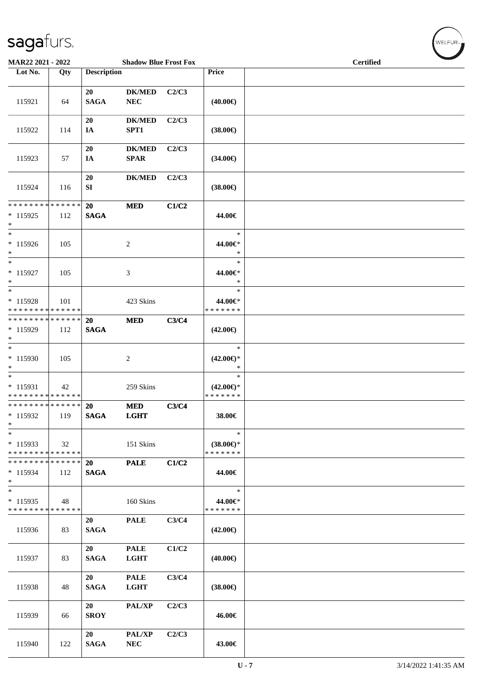| MAR22 2021 - 2022                                                     |     |                          | <b>Shadow Blue Frost Fox</b> |       |                                                | <b>Certified</b> |
|-----------------------------------------------------------------------|-----|--------------------------|------------------------------|-------|------------------------------------------------|------------------|
| Lot No.                                                               | Qty | <b>Description</b>       |                              |       | Price                                          |                  |
| 115921                                                                | 64  | 20<br><b>SAGA</b>        | <b>DK/MED</b><br><b>NEC</b>  | C2/C3 | $(40.00\epsilon)$                              |                  |
| 115922                                                                | 114 | 20<br>IA                 | <b>DK/MED</b><br>SPT1        | C2/C3 | $(38.00\epsilon)$                              |                  |
| 115923                                                                | 57  | 20<br>IA                 | <b>DK/MED</b><br><b>SPAR</b> | C2/C3 | $(34.00\epsilon)$                              |                  |
| 115924                                                                | 116 | 20<br>SI                 | $DK/MED$                     | C2/C3 | $(38.00\epsilon)$                              |                  |
| * * * * * * * * * * * * * *<br>$* 115925$<br>$*$                      | 112 | 20<br><b>SAGA</b>        | <b>MED</b>                   | C1/C2 | 44.00€                                         |                  |
| $*$<br>* 115926<br>$\ast$                                             | 105 |                          | $\overline{c}$               |       | $\ast$<br>44.00€*<br>$\ast$                    |                  |
| $*$<br>$* 115927$<br>$*$                                              | 105 |                          | 3                            |       | $\ast$<br>44.00€*<br>*                         |                  |
| $\overline{\phantom{0}}$<br>$* 115928$<br>* * * * * * * * * * * * * * | 101 |                          | 423 Skins                    |       | $\ast$<br>44.00€*<br>* * * * * * *             |                  |
| * * * * * * * * * * * * * * *<br>* 115929<br>$*$                      | 112 | 20<br><b>SAGA</b>        | <b>MED</b>                   | C3/C4 | $(42.00\epsilon)$                              |                  |
| $*$<br>$*115930$<br>$*$                                               | 105 |                          | 2                            |       | $\ast$<br>$(42.00\epsilon)$ *<br>$\ast$        |                  |
| $*$<br>$* 115931$<br>******** <mark>******</mark>                     | 42  |                          | 259 Skins                    |       | $\ast$<br>$(42.00\epsilon)$ *<br>* * * * * * * |                  |
| * * * * * * * * * * * * * * *<br>* 115932<br>$*$                      | 119 | 20<br><b>SAGA</b>        | <b>MED</b><br><b>LGHT</b>    | C3/C4 | 38.00€                                         |                  |
| $*$<br>$*115933$<br>* * * * * * * * * * * * * *                       | 32  |                          | 151 Skins                    |       | $\ast$<br>$(38.00\epsilon)$ *<br>* * * * * * * |                  |
| * * * * * * * * * * * * * * *<br>* 115934<br>$*$                      | 112 | <b>20</b><br><b>SAGA</b> | <b>PALE</b>                  | C1/C2 | 44.00€                                         |                  |
| $*$<br>$*115935$<br>* * * * * * * * * * * * * *                       | 48  |                          | 160 Skins                    |       | $\ast$<br>44.00€*<br>* * * * * * *             |                  |
| 115936                                                                | 83  | 20<br><b>SAGA</b>        | <b>PALE</b>                  | C3/C4 | $(42.00\epsilon)$                              |                  |
| 115937                                                                | 83  | 20<br><b>SAGA</b>        | <b>PALE</b><br><b>LGHT</b>   | C1/C2 | $(40.00\epsilon)$                              |                  |
| 115938                                                                | 48  | 20<br><b>SAGA</b>        | <b>PALE</b><br><b>LGHT</b>   | C3/C4 | $(38.00\epsilon)$                              |                  |
| 115939                                                                | 66  | 20<br><b>SROY</b>        | PAL/XP                       | C2/C3 | 46.00€                                         |                  |
| 115940                                                                | 122 | 20<br><b>SAGA</b>        | PAL/XP<br>NEC                | C2/C3 | 43.00€                                         |                  |

 $\left(\begin{smallmatrix} \mathsf{WELFLR}_{\mathbb{W}}\end{smallmatrix}\right)$